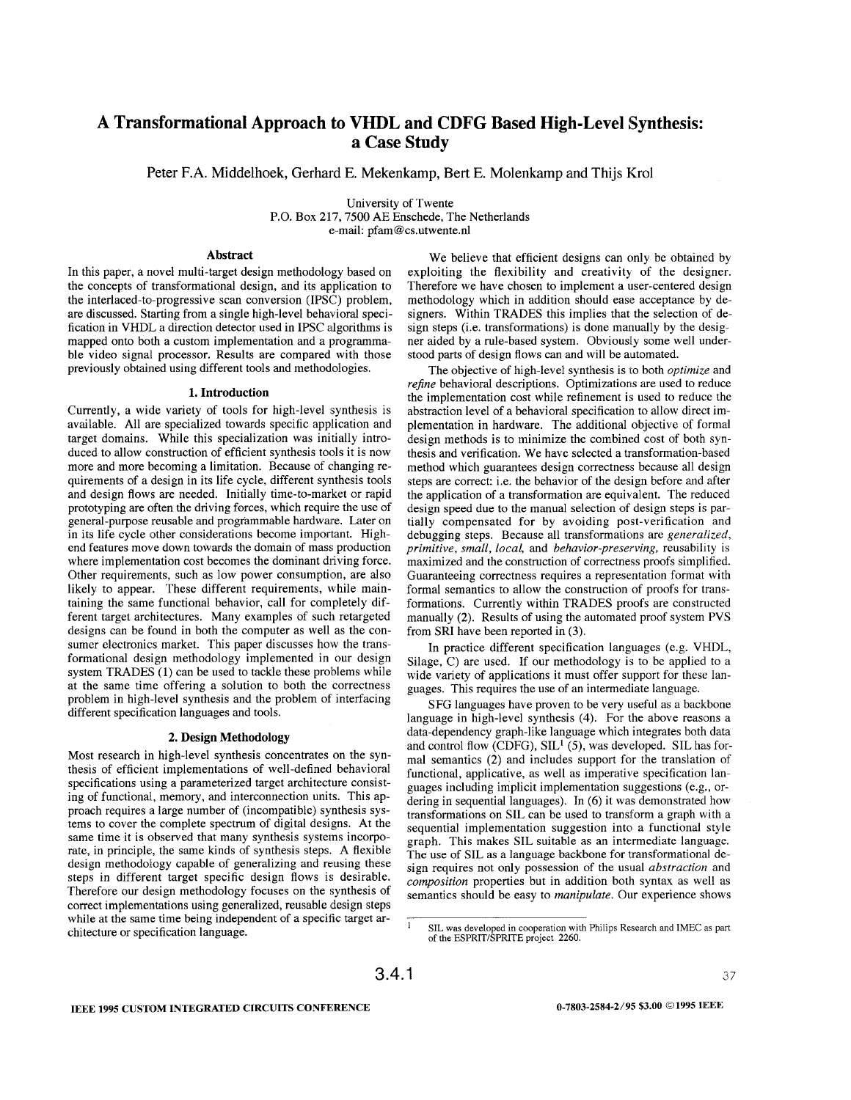# **A Transformational Approach to VHDL and CDFG Based High-Level Synthesis: a Case Study**

Peter **F.A.** Middelhoek, Gerhard E. Mekenkamp, Bert E. Molenkamp and Thijs Krol

University of Twente P.O. **Box** 217,7500 AE Enschede, The Netherlands email: pfam@cs.utwente.nl

# **Abstract**

In this paper, a novel multi-target design methodology based on the concepts of transformational design, and its application to the interlaced-to-progressive scan conversion (IPSC) problem, are discussed. Starting from a single high-level behavioral specification in VHDL a direction detector used in IPSC adgorithms is mapped onto both a custom implementation and a programmable video signal processor. Results are compared with those previously obtained using different tools and methodologies.

### **1. Introduction**

Currently, a wide variety of tools for high-level synthesis is available. All are specialized towards specific application and target domains. While this specialization was initially introduced to allow construction of efficient synthesis tools it is now more and more becoming a limitation. Because of changing requirements of a design in its life cycle, different synthesis tools and design flows are needed. Initially time-to-market or rapid prototyping are often the driving forces, which require the use of general-purpose reusable and programmable hardware. Later on in its life cycle other considerations become important. Highend features move down towards the domain of mass production where implementation cost becomes the dominant driving force. Other requirements, such as low power consumption, are also likely to appear. These different requirements, while maintaining the same functional behavior, call for completely different target architectures. Many examples of such retargeted designs can be found in both the computer as well as the consumer electronics market. This paper discusses how the transformational design methodology implemented in our design system TRADES (1) can be used to tackle these problems while at the same time offering a solution to both the correctness problem in high-level synthesis and the problem of interfacing different specification languages and tools.

## **2. Design Methodology**

Most research in high-level synthesis concentrates on the synthesis of efficient implementations of well-defined behavioral specifications using a parameterized target architecture consisting of functional, memory, and interconnection units. This approach requires a large number of (incompatible) synthesis systems to cover the complete spectrum of digital designs. At the same time it is observed that many synthesis systems incorporate, in principle, the same kinds of synthesis steps. **A** flexible design methodology capable of generalizing and reusing these steps in different target specific design flows is desirable. Therefore our design methodology focuses on the synthesis of correct implementations using generalized, reusable design steps while at the same time being independent of a specific target architecture or specification language.

We believe that efficient designs can only be obtained by exploiting the flexibility and creativity of the designer. Therefore we have chosen to implement a user-centered design methodology which in addition should ease acceptance by designers. Within TRADES this implies that the selection of design steps (i.e. transformations) is done manually by the designer aided by a rule-based system. Obviously some well understood parts of design flows can and will be automated.

The objective of high-level synthesis is to both *optimize* and *refine* behavioral descriptions. Optimizations are used to reduce the implementation cost while refinement is used to reduce the abstraction level of a behavioral specification to allow direct implementation in hardware. The additional objective of formal design methods is to minimize the combined cost of both synthesis and verification. We have selected a transformation-based method which guarantees design correctness because all design steps are correct: i.e. the behavior of the design before and after the application of a transformation are equivalent. The reduced design speed due to the manual selection of design steps is partially compensated for by avoiding post-verification and debugging steps. Because all transformations are *generalized, primitive, small, local,* and *behavior-preserving,* reusability is maximized and the construction of correctness proofs simplified. Guaranteeing correctness requires a representation format with formal semantics to allow the construction of proofs for transformations. Currently within TRADES proofs are constructed manually (2). Results of using the automated proof system PVS from SRI have been reported in **(3).** 

In practice different specification languages (e.g. VIHDL, Silage, C) are used. If our methodology is to be applied to a wide variety of applications it must offer support for these languages. This requires the use of an intermediate language.

SFG languages have proven to be very useful as a backbone language in high-level synthesis (4). For the above reasons a data-dependency graph-like language which integrates both data and control flow (CDFG), SIL' **(5),** was developed. SIL has formal semantics (2) and includes support for the translation of functional, applicative, as well as imperative specification languages including implicit implementation suggestions (e.g., ordering in sequential languages). In *(6)* it was demonstrated how transformations on **SIL** can be used to transform a graph with a sequential implementation suggestion into a functional style graph. This makes SIL suitable as an intermediate language. The use of SIL as a language backbone for transformational design requires not only possession of the usual *abstraction* and *composition* properties but in addition both syntax as well as semantics should be easy to *manipulate.* Our experience shows

SIL was developed in cooperation with Philips Research and IMEC as part of the ESPRIT/SPRITE project 2260.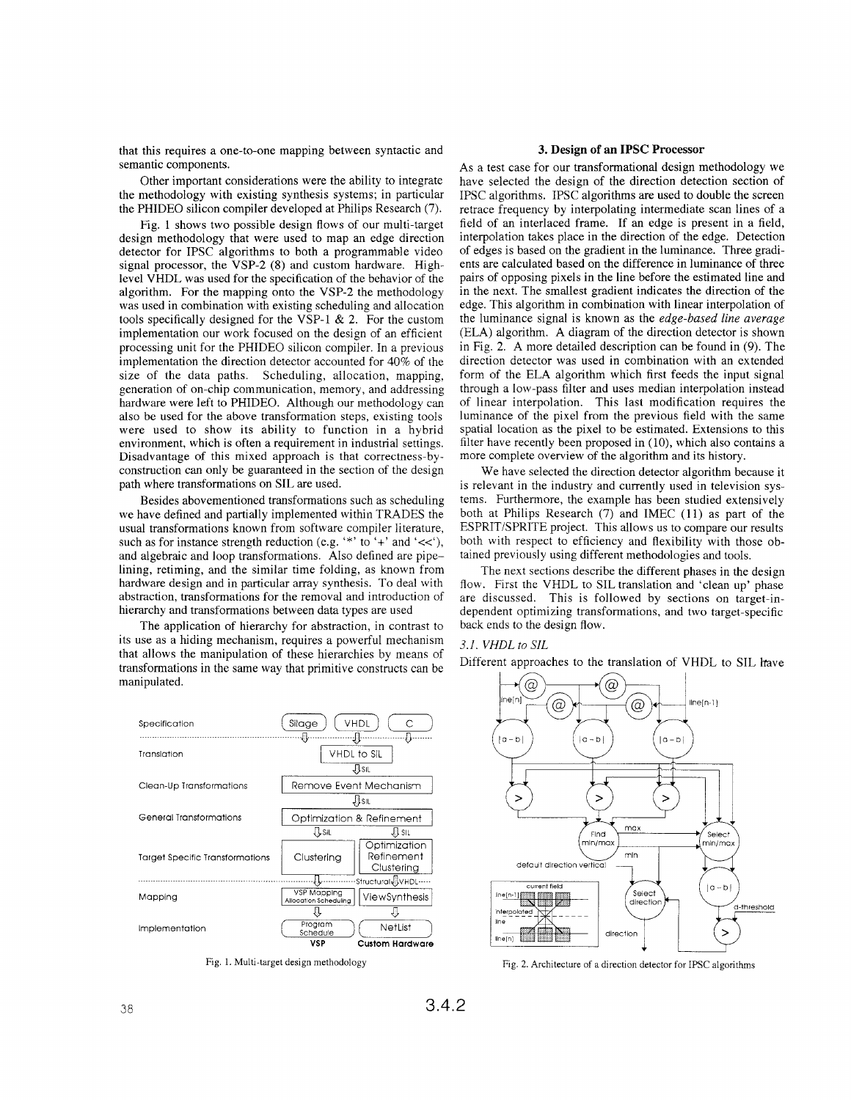<span id="page-1-0"></span>that this requires a one-to-one mapping between syntactic and semantic components.

Other important considerations were the ability to integrate the methodology with existing synthesis systems; in particular the PHIDEO silicon compiler developed at Philips Research (7).

Fig. 1 shows two possible design flows of our multi-target design methodology that were used to map an edge direction detector for IPSC algorithms to both a programmable video signal processor, the VSP-2 (8) and custom hardware. Highlevel VHDL was used for the specification of the behavior of the algorithm. For the mapping onto the VSP-2 the methodology was used in combination with existing scheduling and allocation tools specifically designed for the VSP-1  $\&$  2. For the custom implementation our work focused on the design of an efficient processing unit for the PHIDEO silicon compiler. In a previous implementation the direction detector accounted for 40% of the size of the data paths. Scheduling, allocation, mapping, generation of on-chip communication, memory, and addressing hardware were left to PHIDEO. Although our methodology can also be used for the above transformation steps, existing tools were used to show its ability to function in a hybrid environment, which is often a requirement in industrial settings. Disadvantage of this mixed approach is that correctness-byconstruction can only be guaranteed in the section of the design path where transformations on SIL are used.

Besides abovementioned transformations such as scheduling we have defined and partially implemented within TRADES the usual transformations known from software compiler literature, such as for instance strength reduction (e.g. '\*' to '+' and ' $<<$ '), and algebraic and loop transformations. Also defined are pipelining, retiming, and the similar time folding, as known from hardware design and in particular array synthesis. To deal with abstraction, transformations for the removal and introduction of hierarchy and transformations between data types are used

The application of hierarchy for abstraction, in contrast to its use as a hiding mechanism, requires a powerful mechanism that allows the manipulation of these hierarchies by means of transformations in the same way that primitive constructs can be manipulated.



Fig. 1. Multi-target design methodology

## **3. Design of an IPSC Processor**

**As** a test case for our transformational design methodology we have selected the design of the direction detection section of IPSC algorithms. IPSC algorithms are used to double the screen retrace frequency by interpolating intermediate scan lines of a field of an interlaced frame. If an edge is present in a field, interpolation takes place in the direction of the edge. Detection of edges is based on the gradient in the luminance. Three gradients are calculated based on the difference in luminance of three pairs of opposing pixels in the line before the estimated line and in the next. The smallest gradient indicates the direction of the edge. This algorithm in combination with linear interpolation of the luminance signal is known as the *edge-based line average*  (ELA) algorithm. A diagram of the direction detector is shown in Fig. *2.* A more detailed description can be found in (9). The direction detector was used in combination with an extended form of the ELA algorithm which first feeds the input signal through a low-pass filter and uses median interpolation instead of linear interpolation. This last modification requires the luminance of the pixel from the previous field with the same spatial location as the pixel to be estimated. Extensions to this filter have recently been proposed in  $(10)$ , which also contains a more complete overview of the algorithm and its history.

We have selected the direction detector algorithm because it is relevant in the industry and currently used in television systems. Furthermore, the example has been studied extensively both at Philips Research (7) and IMEC (11) as part of the ESPRIT/SPRITE project. This allows us to compare our results both with respect to efficiency and flexibility with those obtained previously using different methodologies and tools.

The next sections describe the different phases in the design flow. First the VHDL to SIL translation and 'clean up' phase are discussed. This is followed by sections on target-independent optimizing transformations, and two target-specific back ends to the design flow.

# *3.1. VHDL to SIL*

Different approaches to the translation of VHDL to SIL have



Fig. 2. Architecture of a direction detector for IPSC algorithms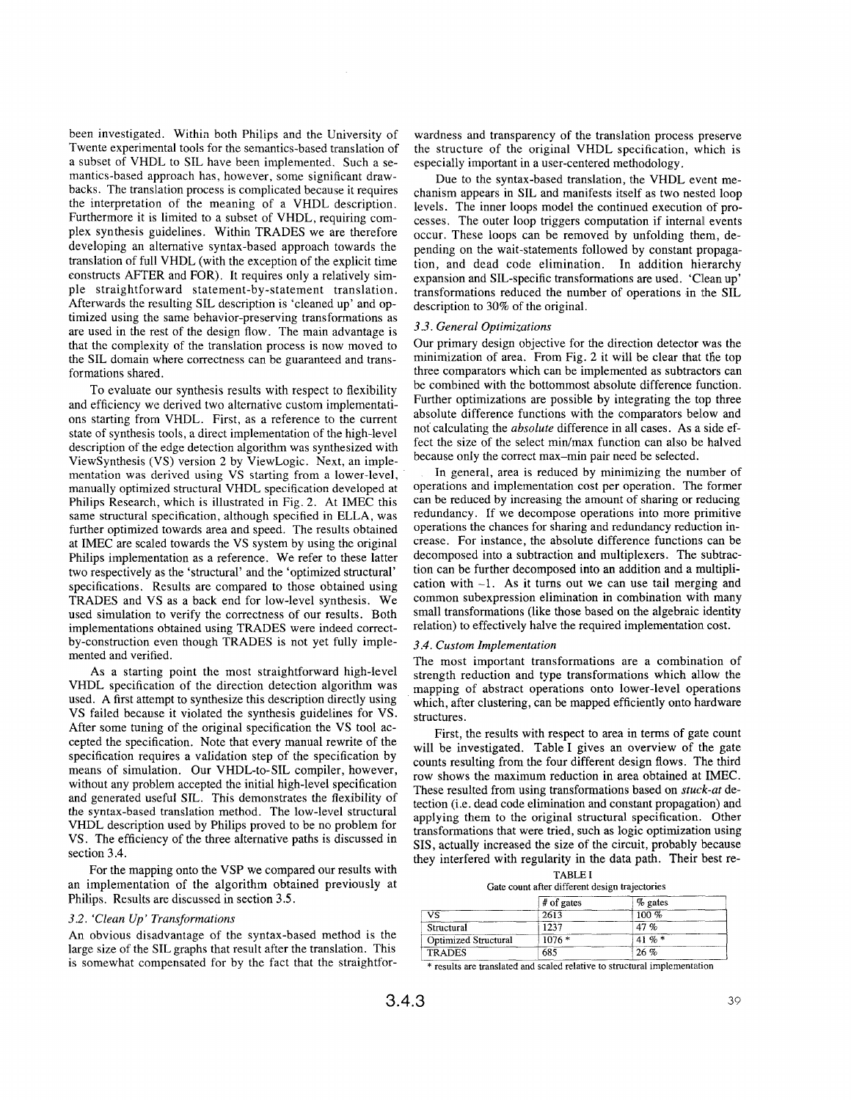been investigated. Within both Philips and the University of Twente experimental tools for the semantics-based translation of a subset of VHDL to SIL have been implemented. Such a semantics-based approach has, however, some significant drawbacks. The translation process is complicated because it requires the interpretation of the meaning of a VHDL description. Furthermore it is limited to a subset of VHDL, requiring complex synthesis guidelines. Within TRADES we are therefore developing an alternative syntax-based approach towards the translation of full VHDL (with the exception of the explicit time constructs AFTER and FOR). It requires only a relatively simple straightforward statement-by-statement translation. Afterwards the resulting SIL description is 'cleaned up' and optimized using the same behavior-preserving transformations as are used in the rest of the design flow. The main advantage is that the complexity of the translation process is now moved to the SIL domain where correctness can be guaranteed and transformations shared.

To evaluate our synthesis results with respect to flexibility and efficiency we derived two alternative custom implementations starting frorn VHDL. First, as a reference to the current state of synthesis tools, a direct implementation of the high-level description of the edge detection algorithm was synthesized with ViewSynthesis (VS) version 2 by ViewLogic. Next, an implementation was derived using VS starting from a lower-level, manually optimized structural VHDL specification developed at Philips Research, which is illustrated in [Fig. 2.](#page-1-0) At IMEC this same structural specification, although specified in ELLA, was further optimized towards area and speed. The results obtained at IMEC are scaled towards the VS system by using the original Philips implementation as a reference. We refer to these latter two respectively as the 'structural' and the 'optimized structural' specifications. Results are compared to those obtained using TRADES and **VS** as a back end for low-level syinthesis. We used simulation to verify the correctness of our results. Both implementations obtained using TRADES were indeed correctby-construction even though TRADES is not yet fully implemented and verified.

As a starting point the most straightforward high-level VHDL specification of the direction detection algorithm was used. A first attempt to synthesize this description directly using VS failed because it violated the synthesis guidelines for VS. After some tuning of the original specification the VS tool accepted the specification. Note that every manual rewrite of the specification requires a validation step of the specification by means of simulation. Our VHDL-to-SIL compiler, however, without any problem accepted the initial high-level specification and generated useful SIL. This demonstrates the flexibility of the syntax-based translation method. The low-level structural VHDL description used by Philips proved to be no problem for VS. The efficiency of the three alternative paths is discussed in section **3.4.** 

For the mapping onto the VSP we compared our results with an implementation of the algorithm obtained previously at Philips. Results are discussed in section **3.5.** 

## *3.2. 'Clean Up' Transformations*

**An** obvious disadvantage of the syntax-based method is the large size of the SIL graphs that result after the translation. This is somewhat compensated for by the fact that the straightforwardness and transparency of the translation process preserve the structure of the original VHDL specification, which is especially important in a user-centered methodology.

Due to the syntax-based translation, the VHDL event mechanism appears in SIL and manifests itself as two nested loop levels. The inner loops model the continued execution of processes. The outer loop triggers computation if internal events occur. These loops can be removed by unfolding them, depending on the wait-statements followed by constant propagation, and dead code elimination. In addition hierarchy expansion and SIL-specific transformations are used. 'Clean up' transformations reduced the number of operations in the SIL description to **30%** of the original.

# *3.3. General Optimizations*

Our primary design objective for the direction detector was the minimization of area. From [Fig. 2](#page-1-0) it will be clear that the top three comparators which can be implemented as subtractors can be combined with the bottommost absolute difference function. Further optimizations are possible by integrating the top three absolute difference functions with the comparators below and not calculating the *absolute* difference in all cases. **As** a side effect the size of the select min/max function can also be halved because only the correct max-min pair need be selected.

In general, area is reduced by minimizing the number of operations and implementation cost per operation. The former can be reduced by increasing the amount of sharing or reducing redundancy. If we decompose operations into more primitive operations the chances for sharing and redundancy reduction increase. For instance, the absolute difference functions can be decomposed into a subtraction and multiplexers. The subtraction can be further decomposed into an addition and a rnultiplication with -1. **As** it turns out we can use tail merging and common subexpression elimination in combination with many small transformations (like those based on the algebraic identity relation) to effectively halve the required implementation cost.

#### *3.4. Custom Implementation*

The most important transformations are a combination of strength reduction and type transformations which allow the mapping of abstract operations onto lower-level operations which, after clustering, can be mapped efficiently onto hardware structures.

First, the results with respect to area in terms of gate count will be investigated. Table I gives an overview of the gate counts resulting from the four different design flows. The third row shows the maximum reduction in area obtained at IMEC. These resulted from using transformations based on *stuck-at* detection (i.e. dead code elimination and constant propagation) and applying them to the original structural specification. Other transformations that were tried, such as logic optimization using **SIS,** actually increased the size of the circuit, probably because they interfered with regularity in the data path. Their best re-

| <b>TABLE I</b>                                 |  |  |  |  |  |
|------------------------------------------------|--|--|--|--|--|
| Gate count after different design trajectories |  |  |  |  |  |

|                             | 1 A DL L<br>Gate count after different design trajectories |           |  |
|-----------------------------|------------------------------------------------------------|-----------|--|
|                             | $#$ of gates                                               | $%$ gates |  |
| VS                          | 2613                                                       | 100%      |  |
| Structural                  | 1237                                                       | 47 %      |  |
| <b>Optimized Structural</b> | $1076*$                                                    | 41%*      |  |
| <b>TRADES</b>               | 685                                                        | 26%       |  |

\* results are translated and scaled relative to structural implementation